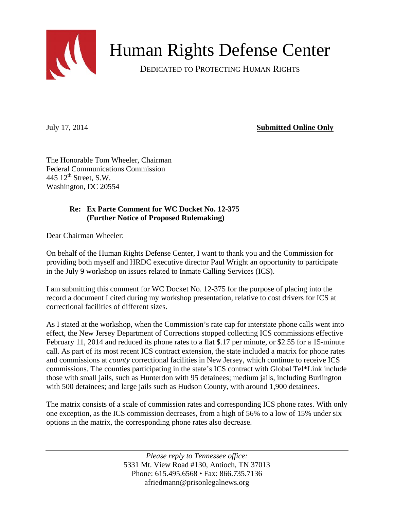

Human Rights Defense Center

DEDICATED TO PROTECTING HUMAN RIGHTS

July 17, 2014 **Submitted Online Only**

The Honorable Tom Wheeler, Chairman Federal Communications Commission 445  $12^{th}$  Street, S.W. Washington, DC 20554

## **Re: Ex Parte Comment for WC Docket No. 12-375 (Further Notice of Proposed Rulemaking)**

Dear Chairman Wheeler:

On behalf of the Human Rights Defense Center, I want to thank you and the Commission for providing both myself and HRDC executive director Paul Wright an opportunity to participate in the July 9 workshop on issues related to Inmate Calling Services (ICS).

I am submitting this comment for WC Docket No. 12-375 for the purpose of placing into the record a document I cited during my workshop presentation, relative to cost drivers for ICS at correctional facilities of different sizes.

As I stated at the workshop, when the Commission's rate cap for interstate phone calls went into effect, the New Jersey Department of Corrections stopped collecting ICS commissions effective February 11, 2014 and reduced its phone rates to a flat \$.17 per minute, or \$2.55 for a 15-minute call. As part of its most recent ICS contract extension, the state included a matrix for phone rates and commissions at *county* correctional facilities in New Jersey, which continue to receive ICS commissions*.* The counties participating in the state's ICS contract with Global Tel\*Link include those with small jails, such as Hunterdon with 95 detainees; medium jails, including Burlington with 500 detainees; and large jails such as Hudson County, with around 1,900 detainees.

The matrix consists of a scale of commission rates and corresponding ICS phone rates. With only one exception, as the ICS commission decreases, from a high of 56% to a low of 15% under six options in the matrix, the corresponding phone rates also decrease.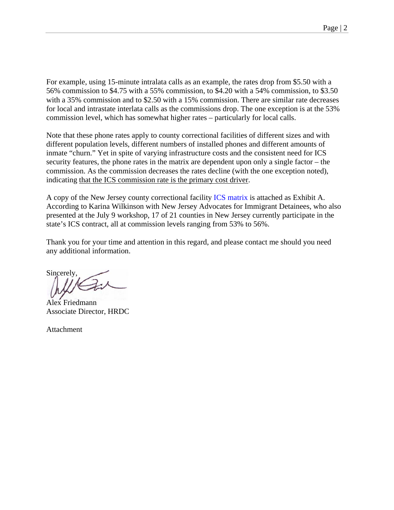For example, using 15-minute intralata calls as an example, the rates drop from \$5.50 with a 56% commission to \$4.75 with a 55% commission, to \$4.20 with a 54% commission, to \$3.50 with a 35% commission and to \$2.50 with a 15% commission. There are similar rate decreases for local and intrastate interlata calls as the commissions drop. The one exception is at the 53% commission level, which has somewhat higher rates – particularly for local calls.

Note that these phone rates apply to county correctional facilities of different sizes and with different population levels, different numbers of installed phones and different amounts of inmate "churn." Yet in spite of varying infrastructure costs and the consistent need for ICS security features, the phone rates in the matrix are dependent upon only a single factor – the commission. As the commission decreases the rates decline (with the one exception noted), indicating that the ICS commission rate is the primary cost driver.

A copy of the New Jersey county correctional facility [ICS matrix](https://wwwnet1.state.nj.us/treasury/dpp/ebid/Buyer/GetDocument.aspx?DocId=22189&DocName=T1934AwardSummary.pdf&DocLoc=15) is attached as Exhibit A. According to Karina Wilkinson with New Jersey Advocates for Immigrant Detainees, who also presented at the July 9 workshop, 17 of 21 counties in New Jersey currently participate in the state's ICS contract, all at commission levels ranging from 53% to 56%.

Thank you for your time and attention in this regard, and please contact me should you need any additional information.

Sincerely,

Alex Friedmann Associate Director, HRDC

Attachment